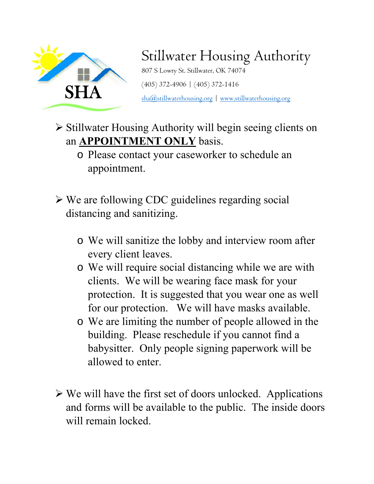

## Stillwater Housing Authority

807 S Lowry St. Stillwater, OK 74074 (405) 372-4906  $\vert$  (405) 372-1416<br>  $\frac{\text{sha}(\mathcal{Q}_s)}{\text{sta}(\mathcal{Q}_s)}$  www.stillwaterhousing.org

 Stillwater Housing Authority will begin seeing clients on an **APPOINTMENT ONLY** basis.

- o Please contact your caseworker to schedule an appointment.
- We are following CDC guidelines regarding social distancing and sanitizing.
	- o We will sanitize the lobby and interview room after every client leaves.
	- o We will require social distancing while we are with clients. We will be wearing face mask for your protection. It is suggested that you wear one as well for our protection. We will have masks available.
	- o We are limiting the number of people allowed in the building. Please reschedule if you cannot find a babysitter. Only people signing paperwork will be allowed to enter.
- $\triangleright$  We will have the first set of doors unlocked. Applications and forms will be available to the public. The inside doors will remain locked.